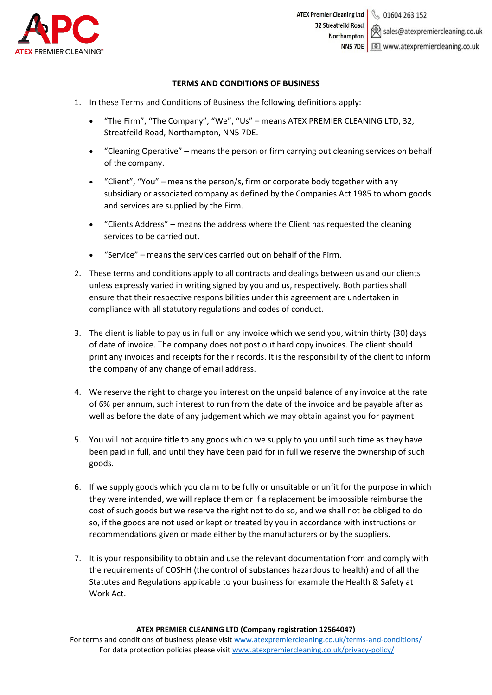

## **TERMS AND CONDITIONS OF BUSINESS**

- 1. In these Terms and Conditions of Business the following definitions apply:
	- "The Firm", "The Company", "We", "Us" means ATEX PREMIER CLEANING LTD, 32, Streatfeild Road, Northampton, NN5 7DE.
	- "Cleaning Operative" means the person or firm carrying out cleaning services on behalf of the company.
	- "Client", "You" means the person/s, firm or corporate body together with any subsidiary or associated company as defined by the Companies Act 1985 to whom goods and services are supplied by the Firm.
	- "Clients Address" means the address where the Client has requested the cleaning services to be carried out.
	- "Service" means the services carried out on behalf of the Firm.
- 2. These terms and conditions apply to all contracts and dealings between us and our clients unless expressly varied in writing signed by you and us, respectively. Both parties shall ensure that their respective responsibilities under this agreement are undertaken in compliance with all statutory regulations and codes of conduct.
- 3. The client is liable to pay us in full on any invoice which we send you, within thirty (30) days of date of invoice. The company does not post out hard copy invoices. The client should print any invoices and receipts for their records. It is the responsibility of the client to inform the company of any change of email address.
- 4. We reserve the right to charge you interest on the unpaid balance of any invoice at the rate of 6% per annum, such interest to run from the date of the invoice and be payable after as well as before the date of any judgement which we may obtain against you for payment.
- 5. You will not acquire title to any goods which we supply to you until such time as they have been paid in full, and until they have been paid for in full we reserve the ownership of such goods.
- 6. If we supply goods which you claim to be fully or unsuitable or unfit for the purpose in which they were intended, we will replace them or if a replacement be impossible reimburse the cost of such goods but we reserve the right not to do so, and we shall not be obliged to do so, if the goods are not used or kept or treated by you in accordance with instructions or recommendations given or made either by the manufacturers or by the suppliers.
- 7. It is your responsibility to obtain and use the relevant documentation from and comply with the requirements of COSHH (the control of substances hazardous to health) and of all the Statutes and Regulations applicable to your business for example the Health & Safety at Work Act.

## **ATEX PREMIER CLEANING LTD (Company registration 12564047)**

For terms and conditions of business please visit [www.atexpremiercleaning.co.uk/terms-and-conditions/](http://www.atexpremiercleaning.co.uk/terms-and-conditions/) For data protection policies please visit [www.atexpremiercleaning.co.uk/privacy-policy/](http://www.atexpremiercleaning.co.uk/privacy-policy/)